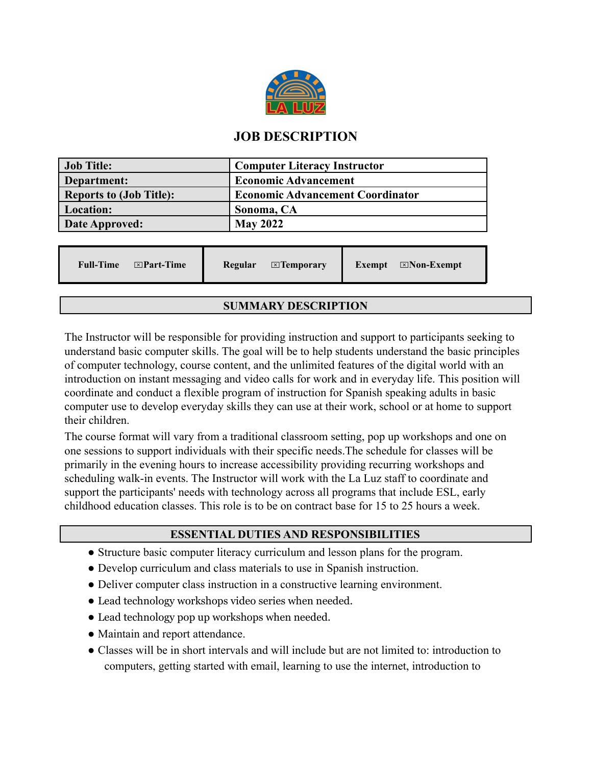

# **JOB DESCRIPTION**

| <b>Job Title:</b>              | <b>Computer Literacy Instructor</b>     |
|--------------------------------|-----------------------------------------|
| Department:                    | <b>Economic Advancement</b>             |
| <b>Reports to (Job Title):</b> | <b>Economic Advancement Coordinator</b> |
| <b>Location:</b>               | Sonoma, CA                              |
| Date Approved:                 | <b>May 2022</b>                         |

## **SUMMARY DESCRIPTION**

The Instructor will be responsible for providing instruction and support to participants seeking to understand basic computer skills. The goal will be to help students understand the basic principles of computer technology, course content, and the unlimited features of the digital world with an introduction on instant messaging and video calls for work and in everyday life. This position will coordinate and conduct a flexible program of instruction for Spanish speaking adults in basic computer use to develop everyday skills they can use at their work, school or at home to support their children.

The course format will vary from a traditional classroom setting, pop up workshops and one on one sessions to support individuals with their specific needs.The schedule for classes will be primarily in the evening hours to increase accessibility providing recurring workshops and scheduling walk-in events. The Instructor will work with the La Luz staff to coordinate and support the participants' needs with technology across all programs that include ESL, early childhood education classes. This role is to be on contract base for 15 to 25 hours a week.

## **ESSENTIAL DUTIES AND RESPONSIBILITIES**

- Structure basic computer literacy curriculum and lesson plans for the program.
- Develop curriculum and class materials to use in Spanish instruction.
- Deliver computer class instruction in a constructive learning environment.
- Lead technology workshops video series when needed.
- Lead technology pop up workshops when needed.
- Maintain and report attendance.
- Classes will be in short intervals and will include but are not limited to: introduction to computers, getting started with email, learning to use the internet, introduction to